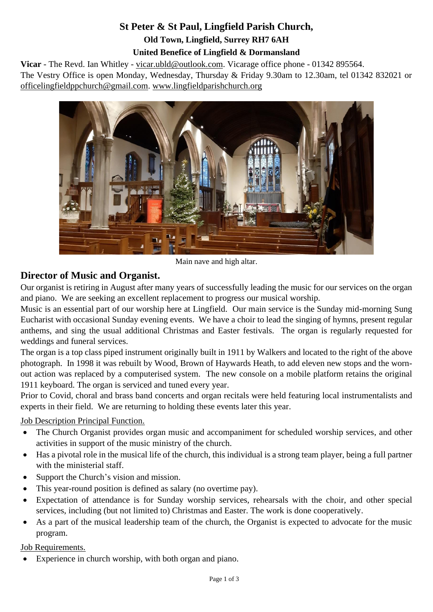# **St Peter & St Paul, Lingfield Parish Church, Old Town, Lingfield, Surrey RH7 6AH United Benefice of Lingfield & Dormansland**

**Vicar** - The Revd. Ian Whitley - [vicar.ubld@outlook.com.](mailto:vicar.ubld@outlook.com) Vicarage office phone - 01342 895564. The Vestry Office is open Monday, Wednesday, Thursday & Friday 9.30am to 12.30am, tel 01342 832021 or [officelingfieldppchurch@gmail.com.](mailto:officelingfieldppchurch@gmail.com) [www.lingfieldparishchurch.org](http://www.lingfieldparishchurch.org/)



Main nave and high altar.

# **Director of Music and Organist.**

Our organist is retiring in August after many years of successfully leading the music for our services on the organ and piano. We are seeking an excellent replacement to progress our musical worship.

Music is an essential part of our worship here at Lingfield. Our main service is the Sunday mid-morning Sung Eucharist with occasional Sunday evening events. We have a choir to lead the singing of hymns, present regular anthems, and sing the usual additional Christmas and Easter festivals. The organ is regularly requested for weddings and funeral services.

The organ is a top class piped instrument originally built in 1911 by Walkers and located to the right of the above photograph. In 1998 it was rebuilt by Wood, Brown of Haywards Heath, to add eleven new stops and the wornout action was replaced by a computerised system. The new console on a mobile platform retains the original 1911 keyboard. The organ is serviced and tuned every year.

Prior to Covid, choral and brass band concerts and organ recitals were held featuring local instrumentalists and experts in their field. We are returning to holding these events later this year.

**Job Description Principal Function.** 

- The Church Organist provides organ music and accompaniment for scheduled worship services, and other activities in support of the music ministry of the church.
- Has a pivotal role in the musical life of the church, this individual is a strong team player, being a full partner with the ministerial staff.
- Support the Church's vision and mission.
- This year-round position is defined as salary (no overtime pay).
- Expectation of attendance is for Sunday worship services, rehearsals with the choir, and other special services, including (but not limited to) Christmas and Easter. The work is done cooperatively.
- As a part of the musical leadership team of the church, the Organist is expected to advocate for the music program.

# Job Requirements.

• Experience in church worship, with both organ and piano.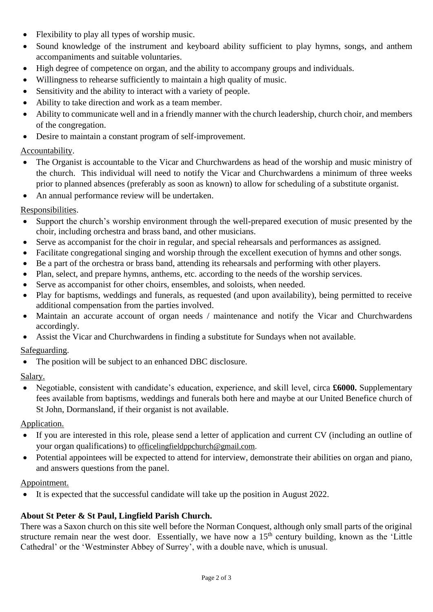- Flexibility to play all types of worship music.
- Sound knowledge of the instrument and keyboard ability sufficient to play hymns, songs, and anthem accompaniments and suitable voluntaries.
- High degree of competence on organ, and the ability to accompany groups and individuals.
- Willingness to rehearse sufficiently to maintain a high quality of music.
- Sensitivity and the ability to interact with a variety of people.
- Ability to take direction and work as a team member.
- Ability to communicate well and in a friendly manner with the church leadership, church choir, and members of the congregation.
- Desire to maintain a constant program of self-improvement.

# Accountability.

- The Organist is accountable to the Vicar and Churchwardens as head of the worship and music ministry of the church. This individual will need to notify the Vicar and Churchwardens a minimum of three weeks prior to planned absences (preferably as soon as known) to allow for scheduling of a substitute organist.
- An annual performance review will be undertaken.

#### Responsibilities.

- Support the church's worship environment through the well-prepared execution of music presented by the choir, including orchestra and brass band, and other musicians.
- Serve as accompanist for the choir in regular, and special rehearsals and performances as assigned.
- Facilitate congregational singing and worship through the excellent execution of hymns and other songs.
- Be a part of the orchestra or brass band, attending its rehearsals and performing with other players.
- Plan, select, and prepare hymns, anthems, etc. according to the needs of the worship services.
- Serve as accompanist for other choirs, ensembles, and soloists, when needed.
- Play for baptisms, weddings and funerals, as requested (and upon availability), being permitted to receive additional compensation from the parties involved.
- Maintain an accurate account of organ needs / maintenance and notify the Vicar and Churchwardens accordingly.
- Assist the Vicar and Churchwardens in finding a substitute for Sundays when not available.

# Safeguarding.

• The position will be subject to an enhanced DBC disclosure.

#### Salary.

• Negotiable, consistent with candidate's education, experience, and skill level, circa **£6000.** Supplementary fees available from baptisms, weddings and funerals both here and maybe at our United Benefice church of St John, Dormansland, if their organist is not available.

#### Application.

- If you are interested in this role, please send a letter of application and current CV (including an outline of your organ qualifications) to [officelingfieldppchurch@gmail.com.](mailto:officelingfieldppchurch@gmail.com)
- Potential appointees will be expected to attend for interview, demonstrate their abilities on organ and piano, and answers questions from the panel.

#### Appointment.

• It is expected that the successful candidate will take up the position in August 2022.

# **About St Peter & St Paul, Lingfield Parish Church.**

There was a Saxon church on this site well before the Norman Conquest, although only small parts of the original structure remain near the west door. Essentially, we have now a 15<sup>th</sup> century building, known as the 'Little Cathedral' or the 'Westminster Abbey of Surrey', with a double nave, which is unusual.